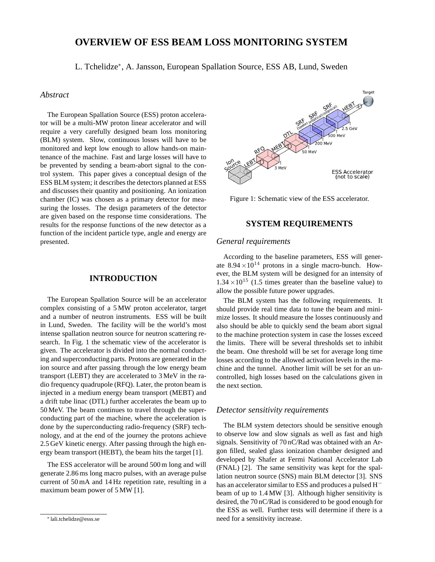# **OVERVIEW OF ESS BEAM LOSS MONITORING SYSTEM**

L. Tchelidze<sup>∗</sup> , A. Jansson, European Spallation Source, ESS AB, Lund, Sweden

# *Abstract*

The European Spallation Source (ESS) proton accelerator will be a multi-MW proton linear accelerator and will require a very carefully designed beam loss monitoring (BLM) system. Slow, continuous losses will have to be monitored and kept low enough to allow hands-on maintenance of the machine. Fast and large losses will have to be prevented by sending a beam-abort signal to the control system. This paper gives a conceptual design of the ESS BLM system; it describes the detectors planned at ESS and discusses their quantity and positioning. An ionization chamber (IC) was chosen as a primary detector for measuring the losses. The design parameters of the detector are given based on the response time considerations. The results for the response functions of the new detector as a function of the incident particle type, angle and energy are presented.

# **INTRODUCTION**

The European Spallation Source will be an accelerator complex consisting of a 5 MW proton accelerator, target and a number of neutron instruments. ESS will be built in Lund, Sweden. The facility will be the world's most intense spallation neutron source for neutron scattering research. In Fig. 1 the schematic view of the accelerator is given. The accelerator is divided into the normal conducting and superconducting parts. Protons are generated in the ion source and after passing through the low energy beam transport (LEBT) they are accelerated to 3 MeV in the radio frequency quadrupole (RFQ). Later, the proton beam is injected in a medium energy beam transport (MEBT) and a drift tube linac (DTL) further accelerates the beam up to 50 MeV. The beam continues to travel through the superconducting part of the machine, where the acceleration is done by the superconducting radio-frequency (SRF) technology, and at the end of the journey the protons achieve 2.5 GeV kinetic energy. After passing through the high energy beam transport (HEBT), the beam hits the target [1].

The ESS accelerator will be around 500 m long and will generate 2.86 ms long macro pulses, with an average pulse current of 50 mA and 14 Hz repetition rate, resulting in a maximum beam power of 5 MW [1].



Figure 1: Schematic view of the ESS accelerator.

### **SYSTEM REQUIREMENTS**

### *General requirements*

According to the baseline parameters, ESS will generate  $8.94 \times 10^{14}$  protons in a single macro-bunch. However, the BLM system will be designed for an intensity of  $1.34 \times 10^{15}$  (1.5 times greater than the baseline value) to allow the possible future power upgrades.

The BLM system has the following requirements. It should provide real time data to tune the beam and minimize losses. It should measure the losses continuously and also should be able to quickly send the beam abort signal to the machine protection system in case the losses exceed the limits. There will be several thresholds set to inhibit the beam. One threshold will be set for average long time losses according to the allowed activation levels in the machine and the tunnel. Another limit will be set for an uncontrolled, high losses based on the calculations given in the next section.

### *Detector sensitivity requirements*

The BLM system detectors should be sensitive enough to observe low and slow signals as well as fast and high signals. Sensitivity of 70 nC/Rad was obtained with an Argon filled, sealed glass ionization chamber designed and developed by Shafer at Fermi National Accelerator Lab (FNAL) [2]. The same sensitivity was kept for the spallation neutron source (SNS) main BLM detector [3]. SNS has an accelerator similar to ESS and produces a pulsed H<sup>−</sup> beam of up to 1.4 MW [3]. Although higher sensitivity is desired, the 70 nC/Rad is considered to be good enough for the ESS as well. Further tests will determine if there is a need for a sensitivity increase.

<sup>∗</sup> lali.tchelidze@esss.se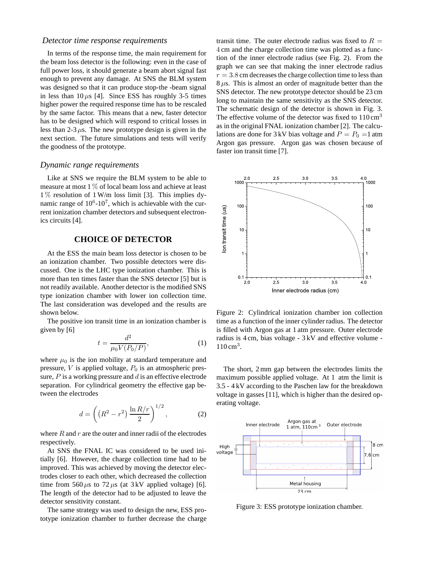#### *Detector time response requirements*

In terms of the response time, the main requirement for the beam loss detector is the following: even in the case of full power loss, it should generate a beam abort signal fast enough to prevent any damage. At SNS the BLM system was designed so that it can produce stop-the -beam signal in less than  $10 \mu s$  [4]. Since ESS has roughly 3-5 times higher power the required response time has to be rescaled by the same factor. This means that a new, faster detector has to be designed which will respond to critical losses in less than  $2-3 \mu s$ . The new prototype design is given in the next section. The future simulations and tests will verify the goodness of the prototype.

#### *Dynamic range requirements*

Like at SNS we require the BLM system to be able to measure at most 1 % of local beam loss and achieve at least 1 % resolution of 1 W/m loss limit [3]. This implies dynamic range of  $10^6$ - $10^7$ , which is achievable with the current ionization chamber detectors and subsequent electronics circuits [4].

# **CHOICE OF DETECTOR**

At the ESS the main beam loss detector is chosen to be an ionization chamber. Two possible detectors were discussed. One is the LHC type ionization chamber. This is more than ten times faster than the SNS detector [5] but is not readily available. Another detector is the modified SNS type ionization chamber with lower ion collection time. The last consideration was developed and the results are shown below.

The positive ion transit time in an ionization chamber is given by [6]

$$
t = \frac{d^2}{\mu_0 V(P_0/P)},\tag{1}
$$

where  $\mu_0$  is the ion mobility at standard temperature and pressure,  $V$  is applied voltage,  $P_0$  is an atmospheric pressure,  $P$  is a working pressure and  $d$  is an effective electrode separation. For cylindrical geometry the effective gap between the electrodes

$$
d = \left( \left( R^2 - r^2 \right) \frac{\ln R/r}{2} \right)^{1/2},\tag{2}
$$

where  $R$  and  $r$  are the outer and inner radii of the electrodes respectively.

At SNS the FNAL IC was considered to be used initially [6]. However, the charge collection time had to be improved. This was achieved by moving the detector electrodes closer to each other, which decreased the collection time from 560  $\mu$ s to 72  $\mu$ s (at 3 kV applied voltage) [6]. The length of the detector had to be adjusted to leave the detector sensitivity constant.

The same strategy was used to design the new, ESS prototype ionization chamber to further decrease the charge transit time. The outer electrode radius was fixed to  $R =$ 4 cm and the charge collection time was plotted as a function of the inner electrode radius (see Fig. 2). From the graph we can see that making the inner electrode radius  $r = 3.8$  cm decreases the charge collection time to less than  $8 \mu s$ . This is almost an order of magnitude better than the SNS detector. The new prototype detector should be 23 cm long to maintain the same sensitivity as the SNS detector. The schematic design of the detector is shown in Fig. 3. The effective volume of the detector was fixed to  $110 \text{ cm}^3$ as in the original FNAL ionization chamber [2]. The calculations are done for 3 kV bias voltage and  $P = P_0 = 1$  atm Argon gas pressure. Argon gas was chosen because of faster ion transit time [7].



Figure 2: Cylindrical ionization chamber ion collection time as a function of the inner cylinder radius. The detector is filled with Argon gas at 1 atm pressure. Outer electrode radius is 4 cm, bias voltage - 3 kV and effective volume - 110 cm<sup>3</sup>.

The short, 2 mm gap between the electrodes limits the maximum possible applied voltage. At 1 atm the limit is 3.5 - 4 kV according to the Paschen law for the breakdown voltage in gasses [11], which is higher than the desired operating voltage.



Figure 3: ESS prototype ionization chamber.